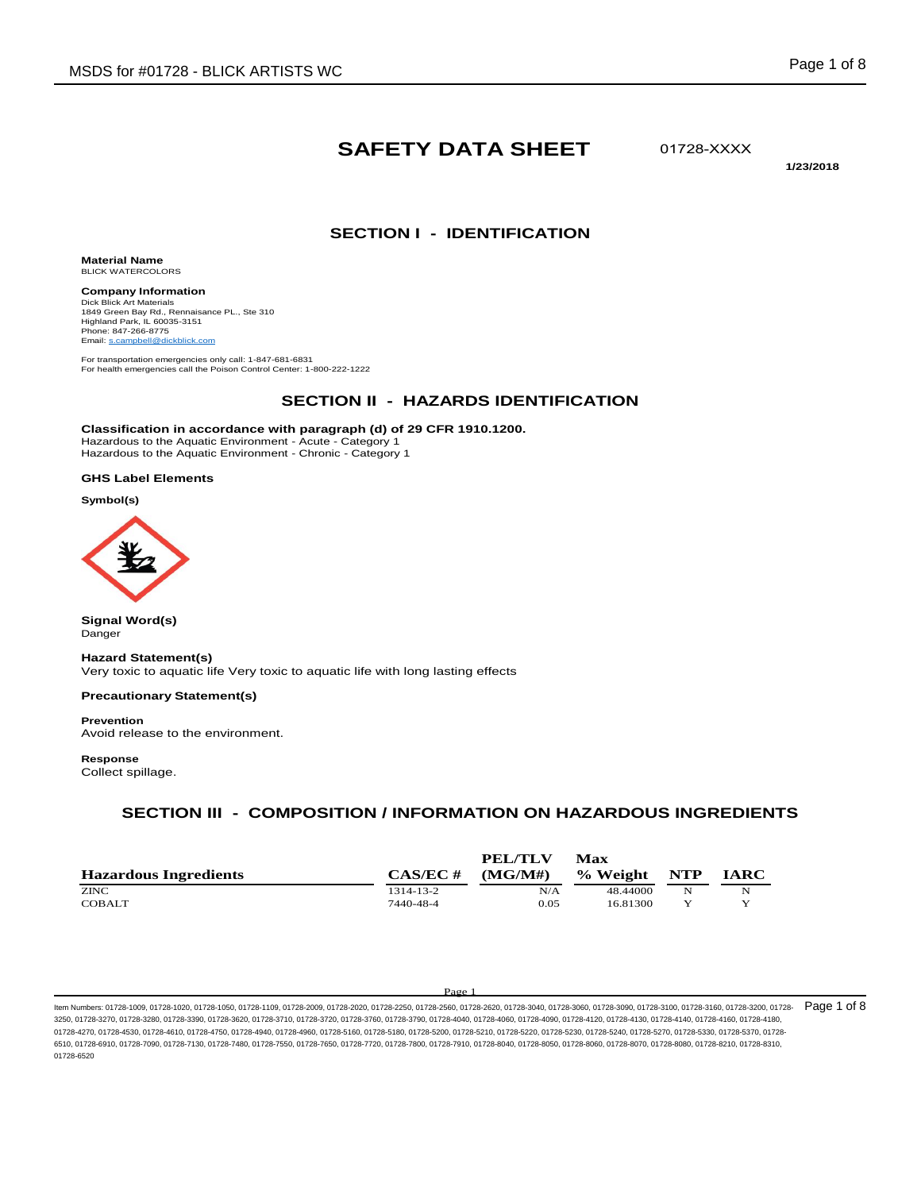# **SAFETY DATA SHEET**

01728-XXXX

**1/23/2018**

### **SECTION I - IDENTIFICATION**

**Material Name** BLICK WATERCOLORS

**Company Information** Dick Blick Art Materials 1849 Green Bay Rd., Rennaisance PL., Ste 310 Highland Park, IL 60035-3151 Phone: 847-266-8775 Email: s.campbell@dickblick.

For transportation emergencies only call: 1-847-681-6831 For health emergencies call the Poison Control Center: 1-800-222-1222

# **SECTION II - HAZARDS IDENTIFICATION**

**Classification in accordance with paragraph (d) of 29 CFR 1910.1200.** Hazardous to the Aquatic Environment - Acute - Category 1 Hazardous to the Aquatic Environment - Chronic - Category 1

#### **GHS Label Elements**

**Symbol(s)**



**Signal Word(s)** Danger

#### **Hazard Statement(s)**

Very toxic to aquatic life Very toxic to aquatic life with long lasting effects

#### **Precautionary Statement(s)**

**Prevention**

Avoid release to the environment.

#### **Response**

Collect spillage.

# **SECTION III - COMPOSITION / INFORMATION ON HAZARDOUS INGREDIENTS**

| <b>Hazardous Ingredients</b> | $CAS/EC \#$ | <b>PEL/TLV</b><br>(MG/M#) | Max<br>% Weight | <b>NTP</b> | <b>IARC</b> |
|------------------------------|-------------|---------------------------|-----------------|------------|-------------|
| <b>ZINC</b>                  | 1314-13-2   | N/A                       | 48.44000        | N          | N           |
| <b>COBALT</b>                | 7440-48-4   | 0.05                      | 16.81300        | v          |             |

#### Page

ltem Numbers: 01728-1009, 01728-1020, 01728-1050, 01728-1109, 01728-2009, 01728-2020, 01728-250, 01728-2560, 01728-300, 01728-3000, 01728-3090, 01728-3090, 01728-3100, 01728-3160, 01728-3160, 01728-3160, 01728-3160, 01728-3250, 01728-3270, 01728-3280, 01728-3390, 01728-3620, 01728-3710, 01728-3720, 01728-3760, 01728-3790, 01728-4040, 01728-4060, 01728-4090, 01728-4120, 01728-4130, 01728-4140, 01728-4160, 01728-4180, 01728-4270, 01728-4530, 01728-4610, 01728-4750, 01728-4940, 01728-4960, 01728-5160, 01728-5200, 01728-5210, 01728-5220, 01728-5230, 01728-5240, 01728-5240, 01728-5240, 01728-5240, 01728-5210, 01728-5240, 01728-5370, 01728-5 6510, 01728-6910, 01728-7090, 01728-7130, 01728-7480, 01728-7550, 01728-7650, 01728-7720, 01728-7800, 01728-7910, 01728-8040, 01728-8050, 01728-8060, 01728-8070, 01728-8080, 01728-8210, 01728-8310, 01728-6520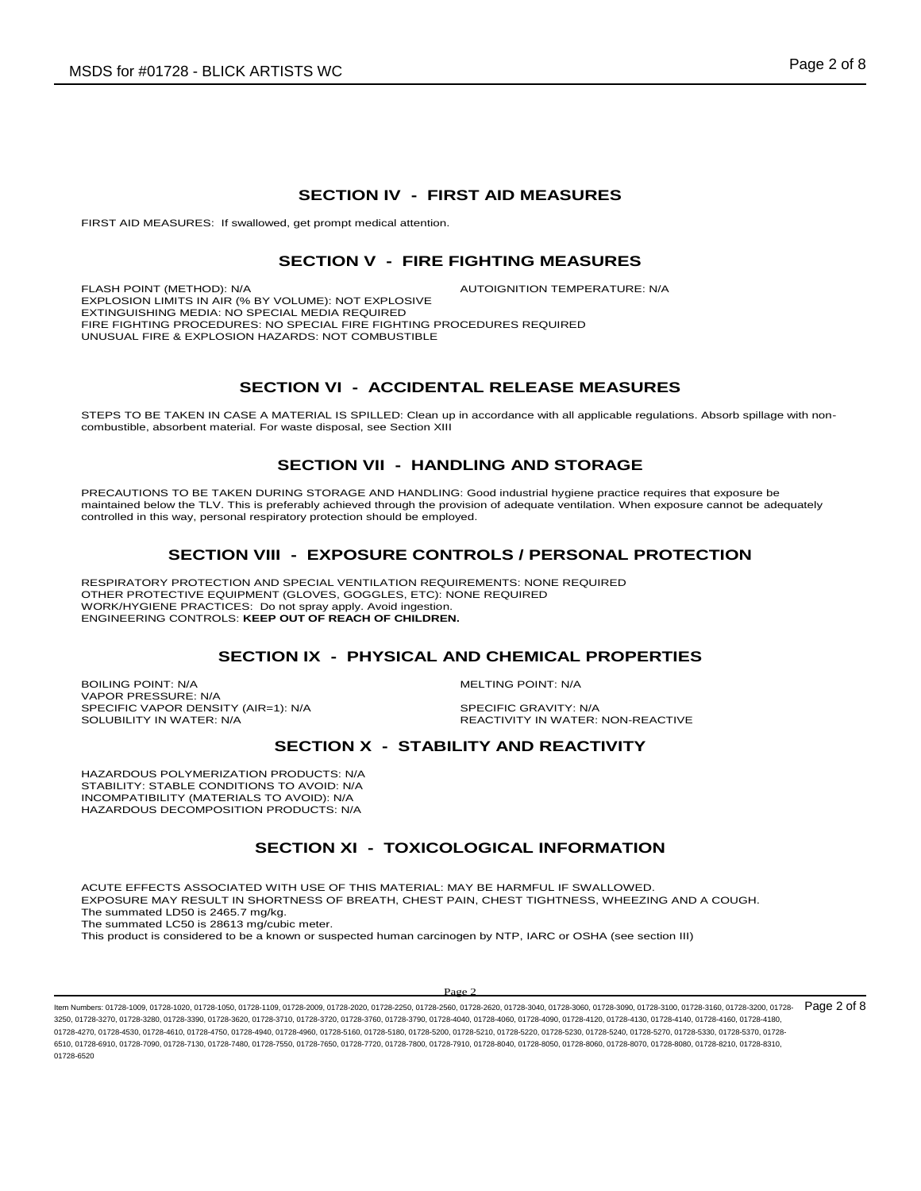### **SECTION IV - FIRST AID MEASURES**

FIRST AID MEASURES: If swallowed, get prompt medical attention.

### **SECTION V - FIRE FIGHTING MEASURES**

FLASH POINT (METHOD): N/A **AUTOIGNITION TEMPERATURE: N/A** EXPLOSION LIMITS IN AIR (% BY VOLUME): NOT EXPLOSIVE EXTINGUISHING MEDIA: NO SPECIAL MEDIA REQUIRED FIRE FIGHTING PROCEDURES: NO SPECIAL FIRE FIGHTING PROCEDURES REQUIRED UNUSUAL FIRE & EXPLOSION HAZARDS: NOT COMBUSTIBLE

### **SECTION VI - ACCIDENTAL RELEASE MEASURES**

STEPS TO BE TAKEN IN CASE A MATERIAL IS SPILLED: Clean up in accordance with all applicable regulations. Absorb spillage with noncombustible, absorbent material. For waste disposal, see Section XIII

### **SECTION VII - HANDLING AND STORAGE**

PRECAUTIONS TO BE TAKEN DURING STORAGE AND HANDLING: Good industrial hygiene practice requires that exposure be maintained below the TLV. This is preferably achieved through the provision of adequate ventilation. When exposure cannot be adequately controlled in this way, personal respiratory protection should be employed.

# **SECTION VIII - EXPOSURE CONTROLS / PERSONAL PROTECTION**

RESPIRATORY PROTECTION AND SPECIAL VENTILATION REQUIREMENTS: NONE REQUIRED OTHER PROTECTIVE EQUIPMENT (GLOVES, GOGGLES, ETC): NONE REQUIRED WORK/HYGIENE PRACTICES: Do not spray apply. Avoid ingestion. ENGINEERING CONTROLS: **KEEP OUT OF REACH OF CHILDREN.**

#### **SECTION IX - PHYSICAL AND CHEMICAL PROPERTIES**

BOILING POINT: N/A MELTING POINT: N/A VAPOR PRESSURE: N/A SPECIFIC VAPOR DENSITY (AIR=1): N/A SPECIFIC GRAVITY: N/A<br>SOLUBILITY IN WATER: N/A SOLUBILITY IN WATER:

REACTIVITY IN WATER: NON-REACTIVE

# **SECTION X - STABILITY AND REACTIVITY**

HAZARDOUS POLYMERIZATION PRODUCTS: N/A STABILITY: STABLE CONDITIONS TO AVOID: N/A INCOMPATIBILITY (MATERIALS TO AVOID): N/A HAZARDOUS DECOMPOSITION PRODUCTS: N/A

# **SECTION XI - TOXICOLOGICAL INFORMATION**

ACUTE EFFECTS ASSOCIATED WITH USE OF THIS MATERIAL: MAY BE HARMFUL IF SWALLOWED. EXPOSURE MAY RESULT IN SHORTNESS OF BREATH, CHEST PAIN, CHEST TIGHTNESS, WHEEZING AND A COUGH.

The summated LD50 is 2465.7 mg/kg. The summated LC50 is 28613 mg/cubic meter.

This product is considered to be a known or suspected human carcinogen by NTP, IARC or OSHA (see section III)

#### $\mathbf{p}_{\alpha}$

ltem Numbers: 01728-1009, 01728-1020, 01728-1050, 01728-1109, 01728-2009, 01728-2020, 01728-2560, 01728-2660, 01728-3040, 01728-3000, 01728-3090, 01728-3100, 01728-3160, 01728-3160, 01728-3160, 01728-3160, 01728-3160, 0172 3250, 01728-3270, 01728-3280, 01728-3390, 01728-3620, 01728-3710, 01728-3720, 01728-3760, 01728-3790, 01728-4040, 01728-4060, 01728-4090, 01728-4120, 01728-4130, 01728-4140, 01728-4160, 01728-4180, 01728-4270, 01728-4530, 01728-4610, 01728-4750, 01728-4940, 01728-4960, 01728-5160, 01728-5200, 01728-5210, 01728-5220, 01728-5230, 01728-5240, 01728-5240, 01728-5240, 01728-5240, 01728-5210, 01728-5240, 01728-5240, 01728-5 6510, 01728-6910, 01728-7090, 01728-7130, 01728-7480, 01728-7550, 01728-7650, 01728-7720, 01728-7800, 01728-7910, 01728-8040, 01728-8050, 01728-8060, 01728-8070, 01728-8080, 01728-8210, 01728-8310, 01728-6520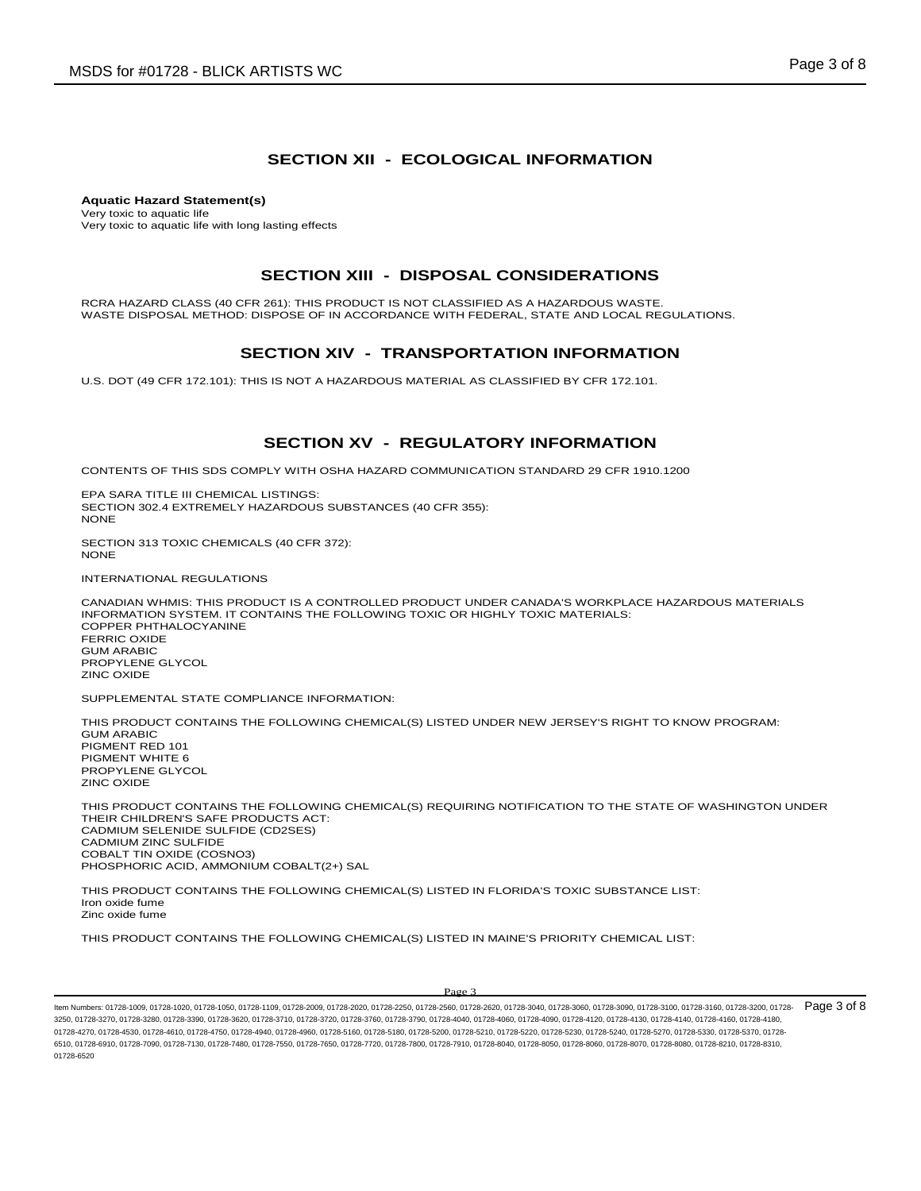#### **SECTION XII - ECOLOGICAL INFORMATION**

**Aquatic Hazard Statement(s)** Very toxic to aquatic life Very toxic to aquatic life with long lasting effects

#### **SECTION XIII - DISPOSAL CONSIDERATIONS**

RCRA HAZARD CLASS (40 CFR 261): THIS PRODUCT IS NOT CLASSIFIED AS A HAZARDOUS WASTE. WASTE DISPOSAL METHOD: DISPOSE OF IN ACCORDANCE WITH FEDERAL, STATE AND LOCAL REGULATIONS.

#### **SECTION XIV - TRANSPORTATION INFORMATION**

U.S. DOT (49 CFR 172.101): THIS IS NOT A HAZARDOUS MATERIAL AS CLASSIFIED BY CFR 172.101.

#### **SECTION XV - REGULATORY INFORMATION**

CONTENTS OF THIS SDS COMPLY WITH OSHA HAZARD COMMUNICATION STANDARD 29 CFR 1910.1200

EPA SARA TITLE III CHEMICAL LISTINGS: SECTION 302.4 EXTREMELY HAZARDOUS SUBSTANCES (40 CFR 355): **NONE** 

SECTION 313 TOXIC CHEMICALS (40 CFR 372): **NONE** 

INTERNATIONAL REGULATIONS

CANADIAN WHMIS: THIS PRODUCT IS A CONTROLLED PRODUCT UNDER CANADA'S WORKPLACE HAZARDOUS MATERIALS INFORMATION SYSTEM. IT CONTAINS THE FOLLOWING TOXIC OR HIGHLY TOXIC MATERIALS: COPPER PHTHALOCYANINE FERRIC OXIDE GUM ARABIC PROPYLENE GLYCOL ZINC OXIDE

SUPPLEMENTAL STATE COMPLIANCE INFORMATION:

THIS PRODUCT CONTAINS THE FOLLOWING CHEMICAL(S) LISTED UNDER NEW JERSEY'S RIGHT TO KNOW PROGRAM: GUM ARABIC PIGMENT RED 101 PIGMENT WHITE 6 PROPYLENE GLYCOL ZINC OXIDE

THIS PRODUCT CONTAINS THE FOLLOWING CHEMICAL(S) REQUIRING NOTIFICATION TO THE STATE OF WASHINGTON UNDER THEIR CHILDREN'S SAFE PRODUCTS ACT: CADMIUM SELENIDE SULFIDE (CD2SES) CADMIUM ZINC SULFIDE COBALT TIN OXIDE (COSNO3) PHOSPHORIC ACID, AMMONIUM COBALT(2+) SAL

THIS PRODUCT CONTAINS THE FOLLOWING CHEMICAL(S) LISTED IN FLORIDA'S TOXIC SUBSTANCE LIST: Iron oxide fume Zinc oxide fume

THIS PRODUCT CONTAINS THE FOLLOWING CHEMICAL(S) LISTED IN MAINE'S PRIORITY CHEMICAL LIST:

ltem Numbers: 01728-1009, 01728-1020, 01728-1050, 01728-1109, 01728-2009, 01728-2020, 01728-2560, 01728-2660, 01728-3040, 01728-3000, 01728-3090, 01728-3100, 01728-3160, 01728-3160, 01728-3160, 01728-3160, 01728-3160, 0172 3250, 01728-3270, 01728-3280, 01728-3390, 01728-3620, 01728-3710, 01728-3720, 01728-3760, 01728-3790, 01728-4040, 01728-4060, 01728-4090, 01728-4120, 01728-4130, 01728-4140, 01728-4160, 01728-4180, 01728-4270, 01728-4530, 01728-4610, 01728-4750, 01728-4940, 01728-4960, 01728-5160, 01728-5200, 01728-5210, 01728-5220, 01728-5230, 01728-5240, 01728-5240, 01728-5240, 01728-5240, 01728-5210, 01728-5240, 01728-5240, 01728-5 6510, 01728-6910, 01728-7090, 01728-7130, 01728-7480, 01728-7550, 01728-7650, 01728-7720, 01728-7800, 01728-7910, 01728-8040, 01728-8050, 01728-8060, 01728-8070, 01728-8080, 01728-8210, 01728-8310, 01728-6520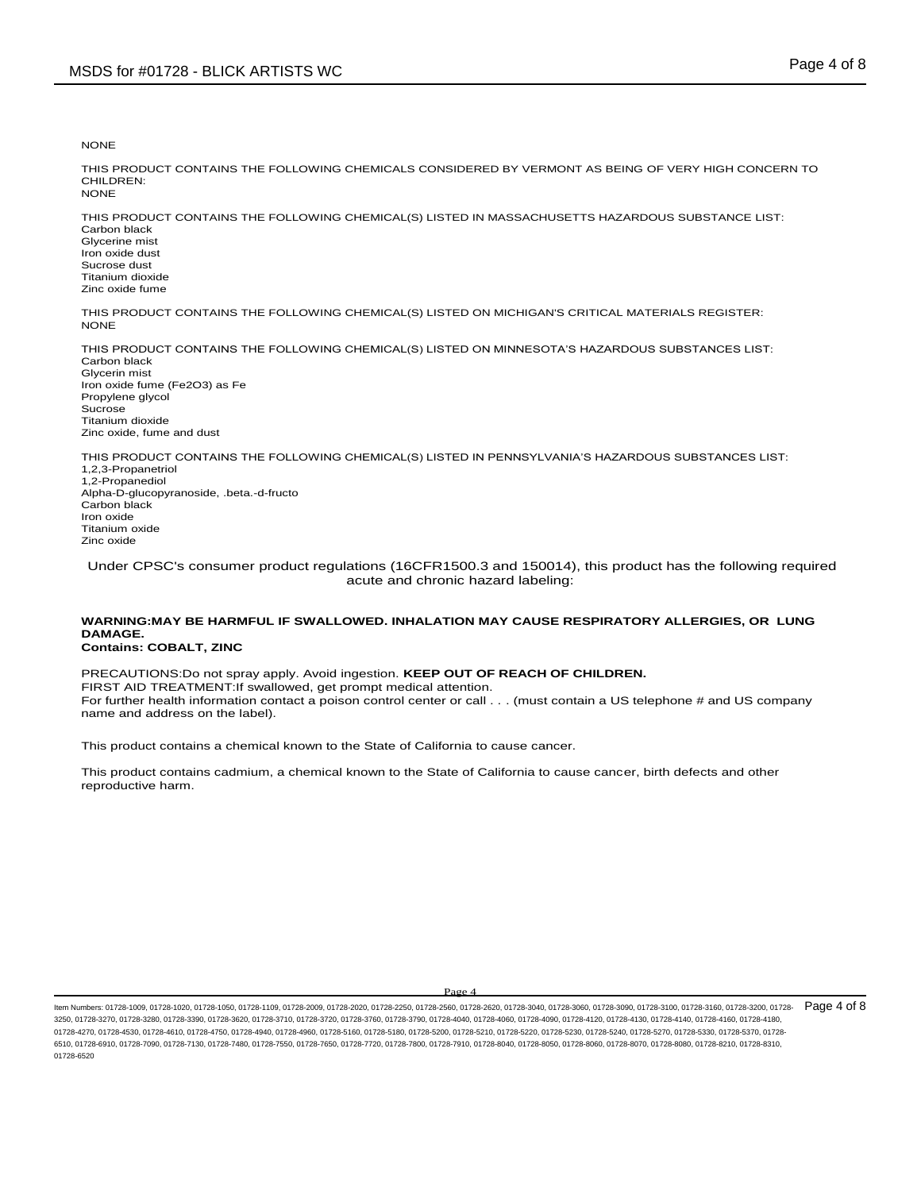**NONE** 

THIS PRODUCT CONTAINS THE FOLLOWING CHEMICALS CONSIDERED BY VERMONT AS BEING OF VERY HIGH CONCERN TO CHILDREN: NONE

THIS PRODUCT CONTAINS THE FOLLOWING CHEMICAL(S) LISTED IN MASSACHUSETTS HAZARDOUS SUBSTANCE LIST: Carbon black Glycerine mist Iron oxide dust Sucrose dust Titanium dioxide Zinc oxide fume

THIS PRODUCT CONTAINS THE FOLLOWING CHEMICAL(S) LISTED ON MICHIGAN'S CRITICAL MATERIALS REGISTER: NONE

THIS PRODUCT CONTAINS THE FOLLOWING CHEMICAL(S) LISTED ON MINNESOTA'S HAZARDOUS SUBSTANCES LIST: Carbon black Glycerin mist Iron oxide fume (Fe2O3) as Fe Propylene glycol Sucrose Titanium dioxide Zinc oxide, fume and dust

THIS PRODUCT CONTAINS THE FOLLOWING CHEMICAL(S) LISTED IN PENNSYLVANIA'S HAZARDOUS SUBSTANCES LIST: 1,2,3-Propanetriol 1,2-Propanediol Alpha-D-glucopyranoside, .beta.-d-fructo Carbon black Iron oxide Titanium oxide Zinc oxide

Under CPSC's consumer product regulations (16CFR1500.3 and 150014), this product has the following required acute and chronic hazard labeling:

# **WARNING:MAY BE HARMFUL IF SWALLOWED. INHALATION MAY CAUSE RESPIRATORY ALLERGIES, OR LUNG DAMAGE.**

**Contains: COBALT, ZINC**

PRECAUTIONS:Do not spray apply. Avoid ingestion. **KEEP OUT OF REACH OF CHILDREN.**  FIRST AID TREATMENT:If swallowed, get prompt medical attention. For further health information contact a poison control center or call . . . (must contain a US telephone # and US company name and address on the label).

This product contains a chemical known to the State of California to cause cancer.

This product contains cadmium, a chemical known to the State of California to cause cancer, birth defects and other reproductive harm.

ltem Numbers: 01728-1009, 01728-1020, 01728-1050, 01728-1109, 01728-2009, 01728-2020, 01728-2560, 01728-2660, 01728-3040, 01728-3000, 01728-3090, 01728-3100, 01728-3160, 01728-3160, 01728-3160, 01728-3160, 01728-3160, 0172 3250, 01728-3270, 01728-3280, 01728-3390, 01728-3620, 01728-3710, 01728-3720, 01728-3760, 01728-3790, 01728-4040, 01728-4060, 01728-4090, 01728-4120, 01728-4130, 01728-4140, 01728-4160, 01728-4180, 01728-4270, 01728-4530, 01728-4610, 01728-4750, 01728-4940, 01728-4960, 01728-5160, 01728-5200, 01728-5210, 01728-5220, 01728-5230, 01728-5240, 01728-5240, 01728-5240, 01728-5240, 01728-5210, 01728-5240, 01728-5240, 01728-5 6510, 01728-6910, 01728-7090, 01728-7130, 01728-7480, 01728-7550, 01728-7650, 01728-7720, 01728-7800, 01728-7910, 01728-8040, 01728-8050, 01728-8060, 01728-8070, 01728-8080, 01728-8210, 01728-8310, 01728-6520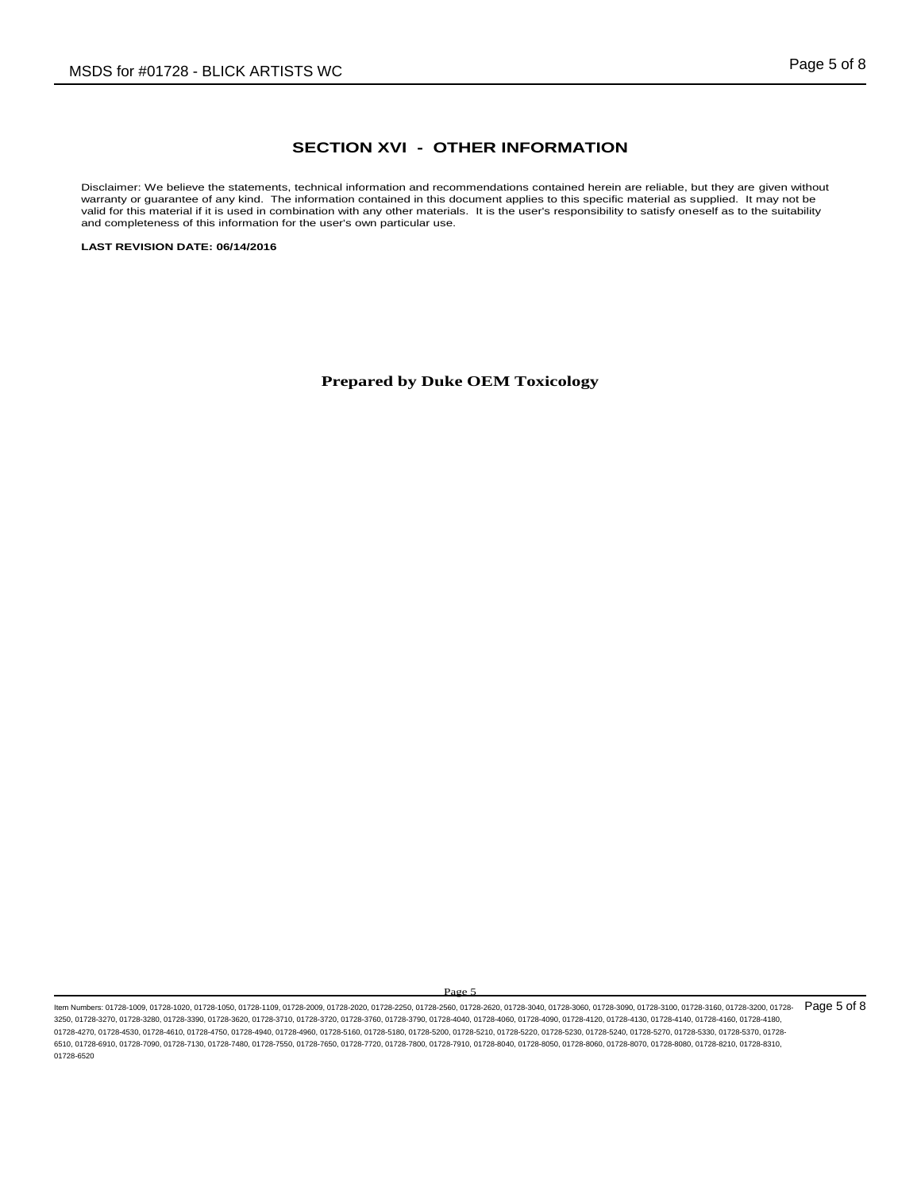### **SECTION XVI - OTHER INFORMATION**

Disclaimer: We believe the statements, technical information and recommendations contained herein are reliable, but they are given without warranty or guarantee of any kind. The information contained in this document applies to this specific material as supplied. It may not be valid for this material if it is used in combination with any other materials. It is the user's responsibility to satisfy oneself as to the suitability and completeness of this information for the user's own particular use.

**LAST REVISION DATE: 06/14/2016**

**Prepared by Duke OEM Toxicology**

ltem Numbers: 01728-1009, 01728-1020, 01728-1050, 01728-1109, 01728-2009, 01728-2020, 01728-250, 01728-2560, 01728-300, 01728-3000, 01728-3090, 01728-3090, 01728-3100, 01728-3160, 01728-3160, 01728-3160, 01728-3160, 01728-3250, 01728-3270, 01728-3280, 01728-3390, 01728-3620, 01728-3710, 01728-3720, 01728-3760, 01728-3790, 01728-4040, 01728-4060, 01728-4090, 01728-4120, 01728-4130, 01728-4140, 01728-4160, 01728-4180, 01728-4270, 01728-4530, 01728-4610, 01728-4750, 01728-4940, 01728-4960, 01728-5160, 01728-5200, 01728-5210, 01728-5220, 01728-5230, 01728-5240, 01728-5240, 01728-5240, 01728-5240, 01728-5210, 01728-5240, 01728-5370, 01728-5 6510, 01728-6910, 01728-7090, 01728-7130, 01728-7480, 01728-7550, 01728-7650, 01728-7720, 01728-7800, 01728-7910, 01728-8040, 01728-8050, 01728-8060, 01728-8070, 01728-8080, 01728-8210, 01728-8310, 01728-6520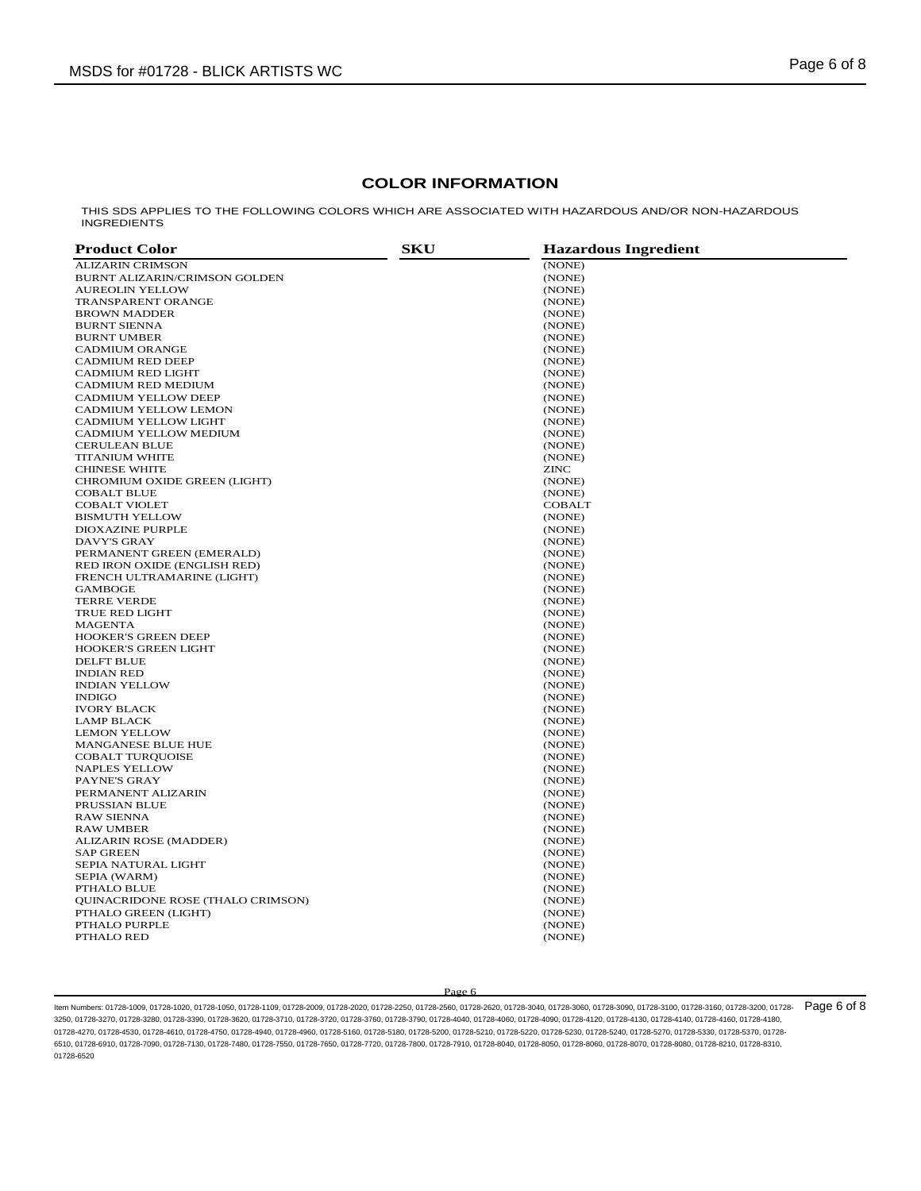### **COLOR INFORMATION**

THIS SDS APPLIES TO THE FOLLOWING COLORS WHICH ARE ASSOCIATED WITH HAZARDOUS AND/OR NON-HAZARDOUS INGREDIENTS

| <b>Product Color</b>                 | <b>SKU</b> | <b>Hazardous Ingredient</b> |
|--------------------------------------|------------|-----------------------------|
| <b>ALIZARIN CRIMSON</b>              |            | (NONE)                      |
| <b>BURNT ALIZARIN/CRIMSON GOLDEN</b> |            | (NONE)                      |
| <b>AUREOLIN YELLOW</b>               |            | (NONE)                      |
| TRANSPARENT ORANGE                   |            | (NONE)                      |
| <b>BROWN MADDER</b>                  |            | (NONE)                      |
| <b>BURNT SIENNA</b>                  |            | (NONE)                      |
| <b>BURNT UMBER</b>                   |            | (NONE)                      |
| <b>CADMIUM ORANGE</b>                |            | (NONE)                      |
| <b>CADMIUM RED DEEP</b>              |            | (NONE)                      |
| <b>CADMIUM RED LIGHT</b>             |            | (NONE)                      |
| CADMIUM RED MEDIUM                   |            | (NONE)                      |
| <b>CADMIUM YELLOW DEEP</b>           |            | (NONE)                      |
| CADMIUM YELLOW LEMON                 |            | (NONE)                      |
| <b>CADMIUM YELLOW LIGHT</b>          |            | (NONE)                      |
| CADMIUM YELLOW MEDIUM                |            | (NONE)                      |
| <b>CERULEAN BLUE</b>                 |            | (NONE)                      |
| <b>TITANIUM WHITE</b>                |            | (NONE)                      |
| <b>CHINESE WHITE</b>                 |            | <b>ZINC</b>                 |
| CHROMIUM OXIDE GREEN (LIGHT)         |            | (NONE)                      |
| <b>COBALT BLUE</b>                   |            | (NONE)                      |
| <b>COBALT VIOLET</b>                 |            | <b>COBALT</b>               |
| <b>BISMUTH YELLOW</b>                |            | (NONE)                      |
| <b>DIOXAZINE PURPLE</b>              |            | (NONE)                      |
| <b>DAVY'S GRAY</b>                   |            | (NONE)                      |
| PERMANENT GREEN (EMERALD)            |            | (NONE)                      |
| RED IRON OXIDE (ENGLISH RED)         |            | (NONE)                      |
| FRENCH ULTRAMARINE (LIGHT)           |            | (NONE)                      |
| <b>GAMBOGE</b>                       |            | (NONE)                      |
| <b>TERRE VERDE</b>                   |            | (NONE)                      |
| <b>TRUE RED LIGHT</b>                |            | (NONE)                      |
| <b>MAGENTA</b>                       |            | (NONE)                      |
| <b>HOOKER'S GREEN DEEP</b>           |            | (NONE)                      |
| <b>HOOKER'S GREEN LIGHT</b>          |            | (NONE)                      |
| <b>DELFT BLUE</b>                    |            | (NONE)                      |
| <b>INDIAN RED</b>                    |            | (NONE)                      |
| <b>INDIAN YELLOW</b>                 |            | (NONE)                      |
| <b>INDIGO</b>                        |            | (NONE)                      |
| <b>IVORY BLACK</b>                   |            | (NONE)                      |
| <b>LAMP BLACK</b>                    |            | (NONE)                      |
| <b>LEMON YELLOW</b>                  |            | (NONE)                      |
| MANGANESE BLUE HUE                   |            | (NONE)                      |
| <b>COBALT TURQUOISE</b>              |            | (NONE)                      |
| <b>NAPLES YELLOW</b>                 |            | (NONE)                      |
| PAYNE'S GRAY                         |            | (NONE)                      |
| PERMANENT ALIZARIN                   |            | (NONE)                      |
| PRUSSIAN BLUE                        |            | (NONE)                      |
| <b>RAW SIENNA</b>                    |            | (NONE)                      |
| <b>RAW UMBER</b>                     |            | (NONE)                      |
| ALIZARIN ROSE (MADDER)               |            | (NONE)                      |
| <b>SAP GREEN</b>                     |            | (NONE)                      |
| SEPIA NATURAL LIGHT                  |            | (NONE)                      |
| SEPIA (WARM)                         |            | (NONE)                      |
| PTHALO BLUE                          |            | (NONE)                      |
| QUINACRIDONE ROSE (THALO CRIMSON)    |            | (NONE)                      |
| PTHALO GREEN (LIGHT)                 |            | (NONE)                      |
| PTHALO PURPLE                        |            | (NONE)                      |
| PTHALO RED                           |            | (NONE)                      |
|                                      |            |                             |

#### Page 6

ltem Numbers: 01728-1009, 01728-1020, 01728-1050, 01728-1109, 01728-2009, 01728-2020, 01728-2560, 01728-2660, 01728-3040, 01728-3000, 01728-3090, 01728-3100, 01728-3160, 01728-3160, 01728-3160, 01728-3160, 01728-3160, 0172 3250, 01728-3270, 01728-3280, 01728-3390, 01728-3620, 01728-3710, 01728-3720, 01728-3760, 01728-3790, 01728-4040, 01728-4060, 01728-4090, 01728-4120, 01728-4130, 01728-4140, 01728-4160, 01728-4180, 01728-4270, 01728-4530, 01728-4610, 01728-4750, 01728-4940, 01728-4960, 01728-5160, 01728-5200, 01728-5200, 01728-5220, 01728-5230, 01728-5240, 01728-5240, 01728-5240, 01728-5240, 01728-5210, 01728-5240, 01728-5240, 01728-5 6510, 01728-6910, 01728-7090, 01728-7130, 01728-7480, 01728-7550, 01728-7650, 01728-7720, 01728-7800, 01728-7910, 01728-8040, 01728-8050, 01728-8060, 01728-8070, 01728-8080, 01728-8210, 01728-8310, 01728-6520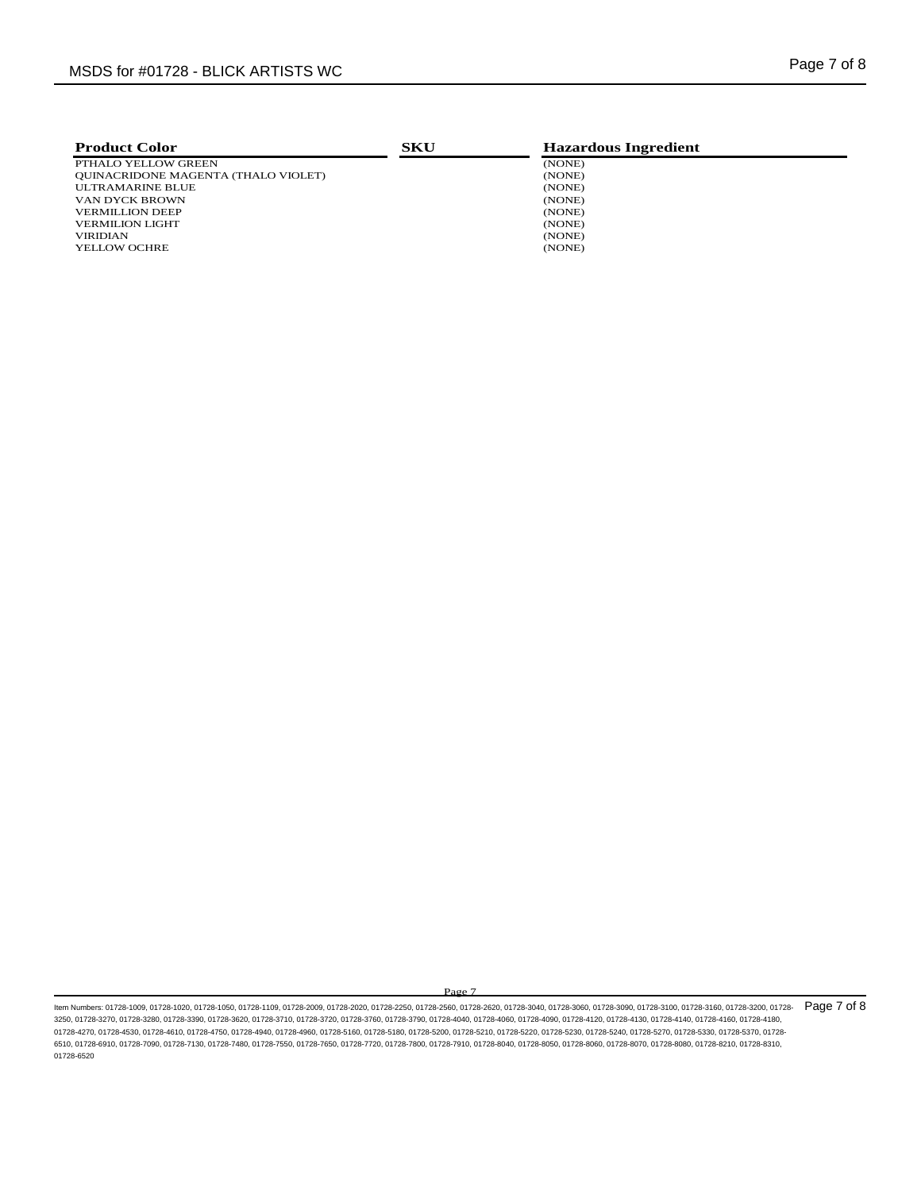| <b>Product Color</b>                       | <b>SKU</b> | <b>Hazardous Ingredient</b> |  |
|--------------------------------------------|------------|-----------------------------|--|
| PTHALO YELLOW GREEN                        |            | (NONE)                      |  |
| <b>OUINACRIDONE MAGENTA (THALO VIOLET)</b> |            | (NONE)                      |  |
| ULTRAMARINE BLUE                           |            | (NONE)                      |  |
| VAN DYCK BROWN                             |            | (NONE)                      |  |
| <b>VERMILLION DEEP</b>                     |            | (NONE)                      |  |
| <b>VERMILION LIGHT</b>                     |            | (NONE)                      |  |
| <b>VIRIDIAN</b>                            |            | (NONE)                      |  |
| <b>YELLOW OCHRE</b>                        |            | (NONE)                      |  |

ltem Numbers: 01728-1009, 01728-1020, 01728-1050, 01728-1109, 01728-2009, 01728-2020, 01728-250, 01728-2560, 01728-300, 01728-3000, 01728-3090, 01728-3090, 01728-3100, 01728-3160, 01728-3160, 01728-3160, 01728-3160, 01728-3250, 01728-3270, 01728-3280, 01728-3390, 01728-3620, 01728-3710, 01728-3720, 01728-3760, 01728-3790, 01728-4040, 01728-4060, 01728-4090, 01728-4120, 01728-4130, 01728-4140, 01728-4160, 01728-4180, 01728-4270, 01728-4530, 01728-4610, 01728-4750, 01728-4940, 01728-4960, 01728-5160, 01728-5200, 01728-5200, 01728-5220, 01728-5230, 01728-5240, 01728-5240, 01728-5240, 01728-5240, 01728-5210, 01728-5240, 01728-5240, 01728-5 6510, 01728-6910, 01728-7090, 01728-7130, 01728-7480, 01728-7550, 01728-7650, 01728-7720, 01728-7800, 01728-7910, 01728-8040, 01728-8050, 01728-8060, 01728-8070, 01728-8080, 01728-8210, 01728-8310, 01728-6520